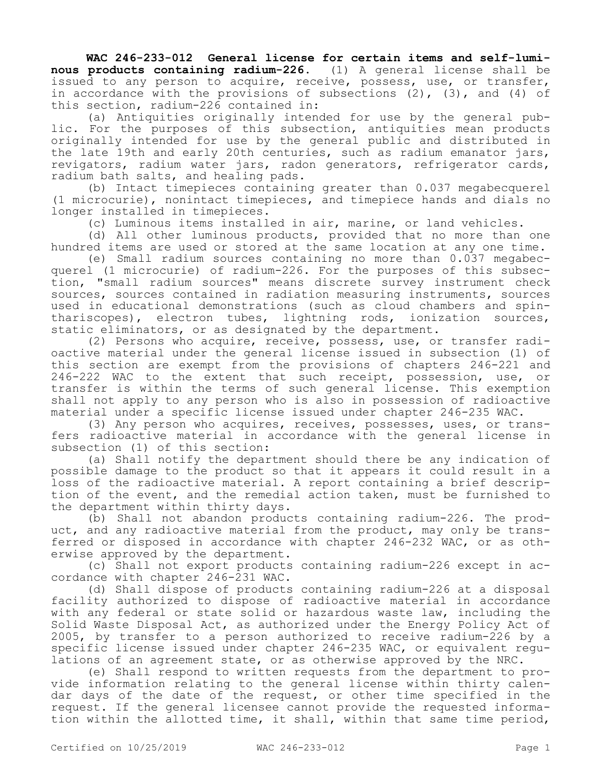**WAC 246-233-012 General license for certain items and self-luminous products containing radium-226.** (1) A general license shall be issued to any person to acquire, receive, possess, use, or transfer, in accordance with the provisions of subsections (2), (3), and (4) of this section, radium-226 contained in:

(a) Antiquities originally intended for use by the general public. For the purposes of this subsection, antiquities mean products originally intended for use by the general public and distributed in the late 19th and early 20th centuries, such as radium emanator jars, revigators, radium water jars, radon generators, refrigerator cards, radium bath salts, and healing pads.

(b) Intact timepieces containing greater than 0.037 megabecquerel (1 microcurie), nonintact timepieces, and timepiece hands and dials no longer installed in timepieces.

(c) Luminous items installed in air, marine, or land vehicles.

(d) All other luminous products, provided that no more than one hundred items are used or stored at the same location at any one time.

(e) Small radium sources containing no more than 0.037 megabecquerel (1 microcurie) of radium-226. For the purposes of this subsection, "small radium sources" means discrete survey instrument check sources, sources contained in radiation measuring instruments, sources used in educational demonstrations (such as cloud chambers and spinthariscopes), electron tubes, lightning rods, ionization sources, static eliminators, or as designated by the department.

(2) Persons who acquire, receive, possess, use, or transfer radioactive material under the general license issued in subsection (1) of this section are exempt from the provisions of chapters 246-221 and 246-222 WAC to the extent that such receipt, possession, use, or transfer is within the terms of such general license. This exemption shall not apply to any person who is also in possession of radioactive material under a specific license issued under chapter 246-235 WAC.

(3) Any person who acquires, receives, possesses, uses, or transfers radioactive material in accordance with the general license in subsection (1) of this section:

(a) Shall notify the department should there be any indication of possible damage to the product so that it appears it could result in a loss of the radioactive material. A report containing a brief description of the event, and the remedial action taken, must be furnished to the department within thirty days.

(b) Shall not abandon products containing radium-226. The product, and any radioactive material from the product, may only be transferred or disposed in accordance with chapter 246-232 WAC, or as otherwise approved by the department.

(c) Shall not export products containing radium-226 except in accordance with chapter 246-231 WAC.

(d) Shall dispose of products containing radium-226 at a disposal facility authorized to dispose of radioactive material in accordance with any federal or state solid or hazardous waste law, including the Solid Waste Disposal Act, as authorized under the Energy Policy Act of 2005, by transfer to a person authorized to receive radium-226 by a specific license issued under chapter 246-235 WAC, or equivalent regulations of an agreement state, or as otherwise approved by the NRC.

(e) Shall respond to written requests from the department to provide information relating to the general license within thirty calendar days of the date of the request, or other time specified in the request. If the general licensee cannot provide the requested information within the allotted time, it shall, within that same time period,